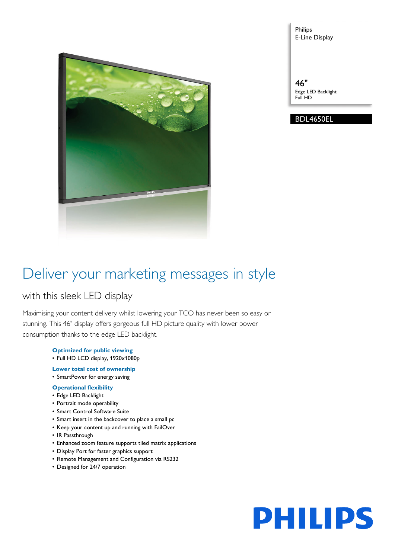

Philips E-Line Display

46" Edge LED Backlight Full HD

# BDL4650EL

# Deliver your marketing messages in style

# with this sleek LED display

Maximising your content delivery whilst lowering your TCO has never been so easy or stunning. This 46" display offers gorgeous full HD picture quality with lower power consumption thanks to the edge LED backlight.

- **Optimized for public viewing**
- Full HD LCD display, 1920x1080p
- **Lower total cost of ownership**
- SmartPower for energy saving

# **Operational flexibility**

- Edge LED Backlight
- Portrait mode operability
- Smart Control Software Suite
- Smart insert in the backcover to place a small pc
- Keep your content up and running with FailOver
- IR Passthrough
- Enhanced zoom feature supports tiled matrix applications
- Display Port for faster graphics support
- Remote Management and Configuration via RS232
- Designed for 24/7 operation

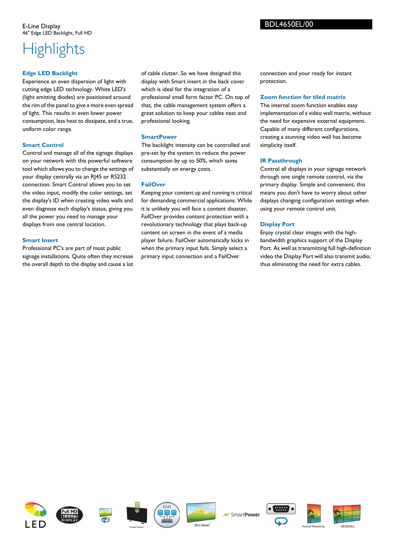# **Highlights**

# **Edge LED Backlight**

Experience an even dispersion of light with cutting edge LED technology. White LED's (light emitting diodes) are positioned around the rim of the panel to give a more even spread of light. This results in even lower power consumption, less heat to dissipate, and a true, uniform color range.

# **Smart Control**

Control and manage all of the signage displays on your network with this powerful software tool which allows you to change the settings of your display centrally via an RJ45 or RS232 connection. Smart Control allows you to set the video input, modify the color settings, set the display's ID when creating video walls and even diagnose each display's status, giving you all the power you need to manage your displays from one central location.

# **Smart Insert**

Professional PC's are part of most public signage installations. Quite often they increase the overall depth to the display and cause a lot

of cable clutter. So we have designed this display with Smart insert in the back cover which is ideal for the integration of a professional small form factor PC. On top of that, the cable management system offers a great solution to keep your cables neat and professional looking.

# **SmartPower**

The backlight intensity can be controlled and pre-set by the system to reduce the power consumption by up to 50%, which saves substantially on energy costs.

# **FailOver**

Keeping your content up and running is critical for demanding commercial applications. While it is unlikely you will face a content disaster, FailOver provides content protection with a revolutionary technology that plays back-up content on screen in the event of a media player failure. FailOver automatically kicks in when the primary input fails. Simply select a primary input connection and a FailOver

connection and your ready for instant protection.

BDL4650EL/00

# **Zoom function for tiled matrix**

The internal zoom function enables easy implementation of a video wall matrix, without the need for expensive external equipment. Capable of many different configurations, creating a stunning video wall has become simplicity itself.

# **IR Passthrough**

Control all displays in your signage network through one single remote control, via the primary display. Simple and convenient, this means you don't have to worry about other displays changing configuration settings when using your remote control unit.

# **Display Port**

Enjoy crystal clear images with the highbandwidth graphics support of the Display Port. As well as transmitting full high-definition video the Display Port will also transmit audio, thus eliminating the need for extra cables.